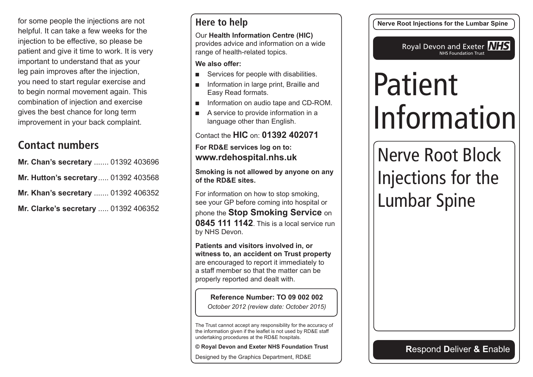for some people the injections are not helpful. It can take a few weeks for the injection to be effective, so please be patient and give it time to work. It is very important to understand that as your leg pain improves after the injection, you need to start regular exercise and to begin normal movement again. This combination of injection and exercise gives the best chance for long term improvement in your back complaint.

## **Contact numbers**

| Mr. Chan's secretary  01392 403696   |  |
|--------------------------------------|--|
| Mr. Hutton's secretary 01392 403568  |  |
| Mr. Khan's secretary  01392 406352   |  |
| Mr. Clarke's secretary  01392 406352 |  |

#### **Here to help**

Our **Health Information Centre (HIC)** provides advice and information on a wide range of health-related topics.

**We also offer:**

- Services for people with disabilities.
- Information in large print, Braille and Easy Read formats.
- Information on audio tape and CD-ROM.
- A service to provide information in a language other than English.

Contact the **HIC** on: **01392 402071**

**For RD&E services log on to: www.rdehospital.nhs.uk**

**Smoking is not allowed by anyone on any of the RD&E sites.**

For information on how to stop smoking, see your GP before coming into hospital or phone the **Stop Smoking Service** on **0845 111 1142**. This is a local service run by NHS Devon.

**Patients and visitors involved in, or witness to, an accident on Trust property** are encouraged to report it immediately to a staff member so that the matter can be properly reported and dealt with.

**Reference Number: TO 09 002 002** *October 2012 (review date: October 2015)*

The Trust cannot accept any responsibility for the accuracy of the information given if the leaflet is not used by RD&E staff undertaking procedures at the RD&E hospitals.

**© Royal Devon and Exeter NHS Foundation Trust**

Designed by the Graphics Department, RD&E

**Nerve Root Injections for the Lumbar Spine**

Royal Devon and Exeter **NHS** NHS Foundation Trust

# Patient Information

Nerve Root Block Injections for the Lumbar Spine

**R**espond **D**eliver **& E**nable